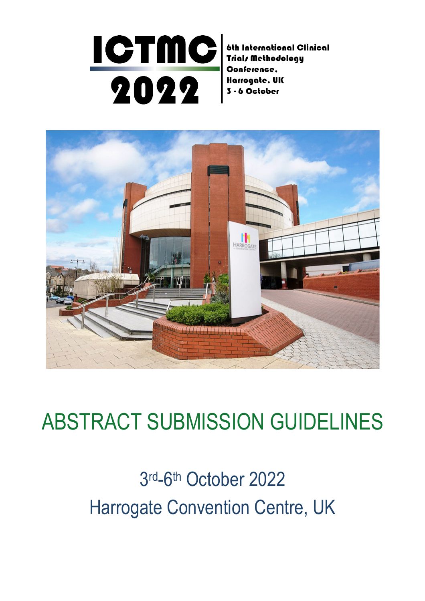#### **ICTMC** 6th International Clinical Trials Methodology Conference. 2022 Harrogate, UK 3 - 6 October



# ABSTRACT SUBMISSION GUIDELINES

# 3 rd-6th October 2022 Harrogate Convention Centre, UK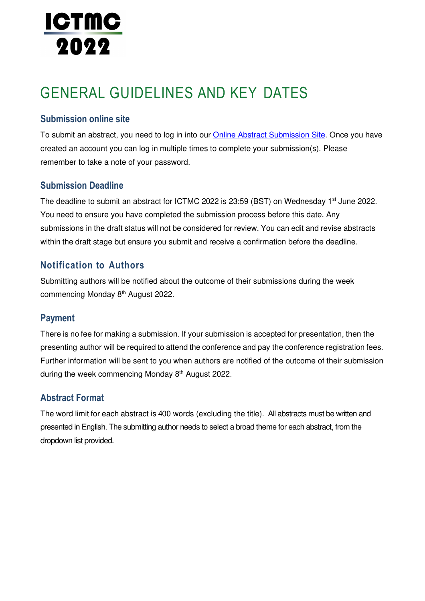# **ICTMC** 2022

# GENERAL GUIDELINES AND KEY DATES

### **Submission online site**

To submit an abstract, you need to log in into our Online Abstract Submission Site. Once you have created an account you can log in multiple times to complete your submission(s). Please remember to take a note of your password.

### **Submission Deadline**

The deadline to submit an abstract for ICTMC 2022 is 23:59 (BST) on Wednesday 1<sup>st</sup> June 2022. You need to ensure you have completed the submission process before this date. Any submissions in the draft status will not be considered for review. You can edit and revise abstracts within the draft stage but ensure you submit and receive a confirmation before the deadline.

## **Notification to Authors**

Submitting authors will be notified about the outcome of their submissions during the week commencing Monday 8th August 2022.

### **Payment**

There is no fee for making a submission. If your submission is accepted for presentation, then the presenting author will be required to attend the conference and pay the conference registration fees. Further information will be sent to you when authors are notified of the outcome of their submission during the week commencing Monday 8<sup>th</sup> August 2022.

### **Abstract Format**

The word limit for each abstract is 400 words (excluding the title). All abstracts must be written and presented in English. The submitting author needs to select a broad theme for each abstract, from the dropdown list provided.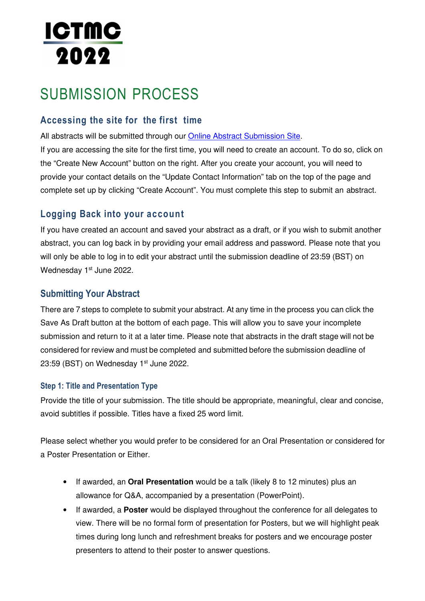# <u>ictmc</u> 2022

# SUBMISSION PROCESS

## **Accessing the site for the first time**

All abstracts will be submitted through our Online Abstract Submission Site.

If you are accessing the site for the first time, you will need to create an account. To do so, click on the "Create New Account" button on the right. After you create your account, you will need to provide your contact details on the "Update Contact Information" tab on the top of the page and complete set up by clicking "Create Account". You must complete this step to submit an abstract.

## **Logging Back into your account**

If you have created an account and saved your abstract as a draft, or if you wish to submit another abstract, you can log back in by providing your email address and password. Please note that you will only be able to log in to edit your abstract until the submission deadline of 23:59 (BST) on Wednesday 1<sup>st</sup> June 2022.

### **Submitting Your Abstract**

There are 7 steps to complete to submit your abstract. At any time in the process you can click the Save As Draft button at the bottom of each page. This will allow you to save your incomplete submission and return to it at a later time. Please note that abstracts in the draft stage will not be considered for review and must be completed and submitted before the submission deadline of 23:59 (BST) on Wednesday  $1<sup>st</sup>$  June 2022.

#### **Step 1: Title and Presentation Type**

Provide the title of your submission. The title should be appropriate, meaningful, clear and concise, avoid subtitles if possible. Titles have a fixed 25 word limit.

Please select whether you would prefer to be considered for an Oral Presentation or considered for a Poster Presentation or Either.

- If awarded, an **Oral Presentation** would be a talk (likely 8 to 12 minutes) plus an allowance for Q&A, accompanied by a presentation (PowerPoint).
- If awarded, a **Poster** would be displayed throughout the conference for all delegates to view. There will be no formal form of presentation for Posters, but we will highlight peak times during long lunch and refreshment breaks for posters and we encourage poster presenters to attend to their poster to answer questions.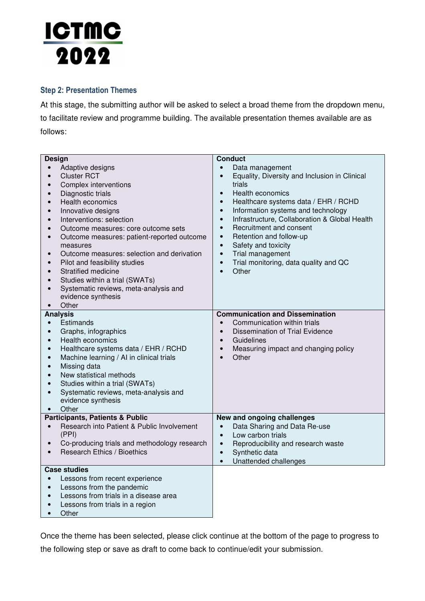# <u>ICTMC</u> 2022

#### **Step 2: Presentation Themes**

At this stage, the submitting author will be asked to select a broad theme from the dropdown menu, to facilitate review and programme building. The available presentation themes available are as follows:

| <b>Design</b>                                                                                                                                                                                                                                                                                                                                                                                                                                                                                                                                                                                                                     | <b>Conduct</b>                                                                                                                                                                                                                                                                                                                                                                                                                                                                                                                  |
|-----------------------------------------------------------------------------------------------------------------------------------------------------------------------------------------------------------------------------------------------------------------------------------------------------------------------------------------------------------------------------------------------------------------------------------------------------------------------------------------------------------------------------------------------------------------------------------------------------------------------------------|---------------------------------------------------------------------------------------------------------------------------------------------------------------------------------------------------------------------------------------------------------------------------------------------------------------------------------------------------------------------------------------------------------------------------------------------------------------------------------------------------------------------------------|
| Adaptive designs<br><b>Cluster RCT</b><br>$\bullet$<br>Complex interventions<br>$\bullet$<br>Diagnostic trials<br>$\bullet$<br><b>Health economics</b><br>Innovative designs<br>$\bullet$<br>Interventions: selection<br>$\bullet$<br>Outcome measures: core outcome sets<br>$\bullet$<br>Outcome measures: patient-reported outcome<br>$\bullet$<br>measures<br>Outcome measures: selection and derivation<br>Pilot and feasibility studies<br>$\bullet$<br>Stratified medicine<br>Studies within a trial (SWATs)<br>$\bullet$<br>Systematic reviews, meta-analysis and<br>$\bullet$<br>evidence synthesis<br>Other<br>$\bullet$ | Data management<br>Equality, Diversity and Inclusion in Clinical<br>$\bullet$<br>trials<br>Health economics<br>$\bullet$<br>Healthcare systems data / EHR / RCHD<br>$\bullet$<br>Information systems and technology<br>$\bullet$<br>Infrastructure, Collaboration & Global Health<br>$\bullet$<br>Recruitment and consent<br>$\bullet$<br>Retention and follow-up<br>$\bullet$<br>Safety and toxicity<br>$\bullet$<br>Trial management<br>$\bullet$<br>Trial monitoring, data quality and QC<br>$\bullet$<br>Other<br>$\bullet$ |
| <b>Analysis</b><br>Estimands<br>$\bullet$<br>Graphs, infographics<br>$\bullet$<br>Health economics<br>$\bullet$<br>Healthcare systems data / EHR / RCHD<br>$\bullet$<br>Machine learning / AI in clinical trials<br>Missing data<br>$\bullet$<br>New statistical methods<br>$\bullet$<br>Studies within a trial (SWATs)<br>$\bullet$<br>Systematic reviews, meta-analysis and<br>evidence synthesis<br>Other<br>$\bullet$                                                                                                                                                                                                         | <b>Communication and Dissemination</b><br>Communication within trials<br>$\bullet$<br><b>Dissemination of Trial Evidence</b><br>$\bullet$<br>Guidelines<br>$\bullet$<br>Measuring impact and changing policy<br>$\bullet$<br>Other<br>$\bullet$                                                                                                                                                                                                                                                                                 |
| <b>Participants, Patients &amp; Public</b><br>Research into Patient & Public Involvement<br>$\bullet$<br>(PPI)<br>Co-producing trials and methodology research<br>$\bullet$<br><b>Research Ethics / Bioethics</b>                                                                                                                                                                                                                                                                                                                                                                                                                 | New and ongoing challenges<br>Data Sharing and Data Re-use<br>$\bullet$<br>Low carbon trials<br>$\bullet$<br>Reproducibility and research waste<br>$\bullet$<br>Synthetic data<br>$\bullet$<br>Unattended challenges<br>$\bullet$                                                                                                                                                                                                                                                                                               |
| <b>Case studies</b><br>Lessons from recent experience<br>$\bullet$<br>Lessons from the pandemic<br>$\bullet$<br>Lessons from trials in a disease area<br>$\bullet$<br>Lessons from trials in a region<br>Other                                                                                                                                                                                                                                                                                                                                                                                                                    |                                                                                                                                                                                                                                                                                                                                                                                                                                                                                                                                 |

Once the theme has been selected, please click continue at the bottom of the page to progress to the following step or save as draft to come back to continue/edit your submission.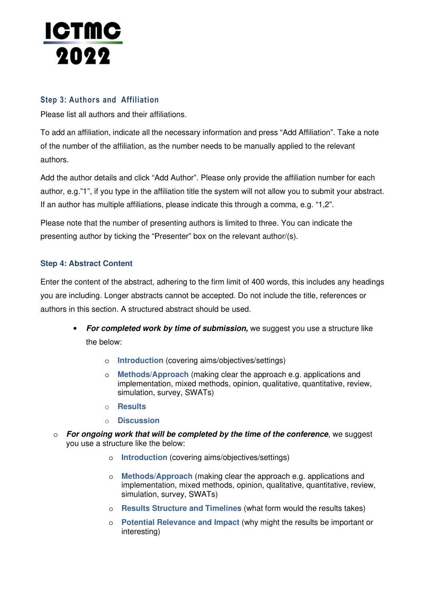

#### **Step 3: Authors and Affiliation**

Please list all authors and their affiliations.

To add an affiliation, indicate all the necessary information and press "Add Affiliation". Take a note of the number of the affiliation, as the number needs to be manually applied to the relevant authors.

Add the author details and click "Add Author". Please only provide the affiliation number for each author, e.g."1", if you type in the affiliation title the system will not allow you to submit your abstract. If an author has multiple affiliations, please indicate this through a comma, e.g. "1,2".

Please note that the number of presenting authors is limited to three. You can indicate the presenting author by ticking the "Presenter" box on the relevant author/(s).

#### **Step 4: Abstract Content**

Enter the content of the abstract, adhering to the firm limit of 400 words, this includes any headings you are including. Longer abstracts cannot be accepted. Do not include the title, references or authors in this section. A structured abstract should be used.

- **For completed work by time of submission,** we suggest you use a structure like the below:
	- o **Introduction** (covering aims/objectives/settings)
	- o **Methods/Approach** (making clear the approach e.g. applications and implementation, mixed methods, opinion, qualitative, quantitative, review, simulation, survey, SWATs)
	- o **Results**
	- o **Discussion**
- o **For ongoing work that will be completed by the time of the conference**, we suggest you use a structure like the below:
	- o **Introduction** (covering aims/objectives/settings)
	- o **Methods/Approach** (making clear the approach e.g. applications and implementation, mixed methods, opinion, qualitative, quantitative, review, simulation, survey, SWATs)
	- o **Results Structure and Timelines** (what form would the results takes)
	- o **Potential Relevance and Impact** (why might the results be important or interesting)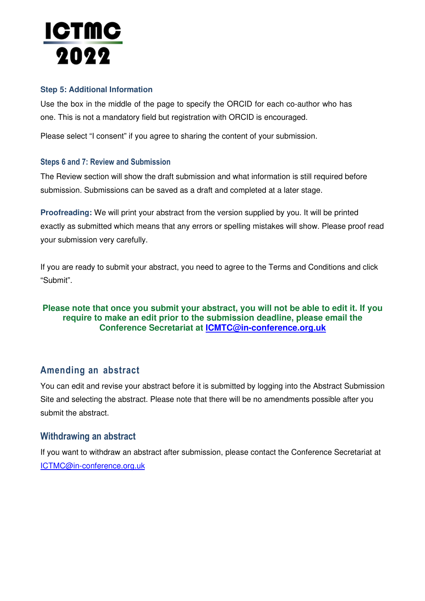# <u>ictmc</u> 2022

#### **Step 5: Additional Information**

Use the box in the middle of the page to specify the ORCID for each co-author who has one. This is not a mandatory field but registration with ORCID is encouraged.

Please select "I consent" if you agree to sharing the content of your submission.

#### **Steps 6 and 7: Review and Submission**

The Review section will show the draft submission and what information is still required before submission. Submissions can be saved as a draft and completed at a later stage.

**Proofreading:** We will print your abstract from the version supplied by you. It will be printed exactly as submitted which means that any errors or spelling mistakes will show. Please proof read your submission very carefully.

If you are ready to submit your abstract, you need to agree to the Terms and Conditions and click "Submit".

#### **Please note that once you submit your abstract, you will not be able to edit it. If you require to make an edit prior to the submission deadline, please email the Conference Secretariat at ICMTC@in-conference.org.uk**

### **Amending an abstract**

You can edit and revise your abstract before it is submitted by logging into the Abstract Submission Site and selecting the abstract. Please note that there will be no amendments possible after you submit the abstract.

#### **Withdrawing an abstract**

If you want to withdraw an abstract after submission, please contact the Conference Secretariat at ICTMC@in-conference.org.uk